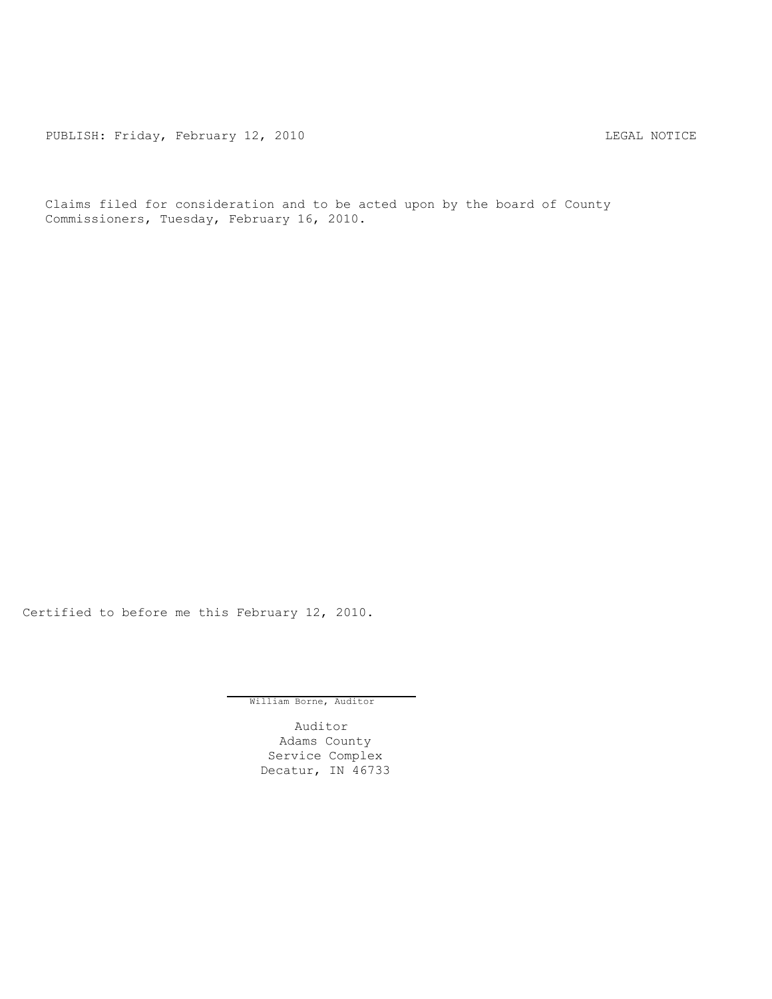PUBLISH: Friday, February 12, 2010 CHA CHANGE CONSTRUCTED THE LEGAL NOTICE

Claims filed for consideration and to be acted upon by the board of County Commissioners, Tuesday, February 16, 2010.

Certified to before me this February 12, 2010.

William Borne, Auditor

Auditor Adams County Service Complex Decatur, IN 46733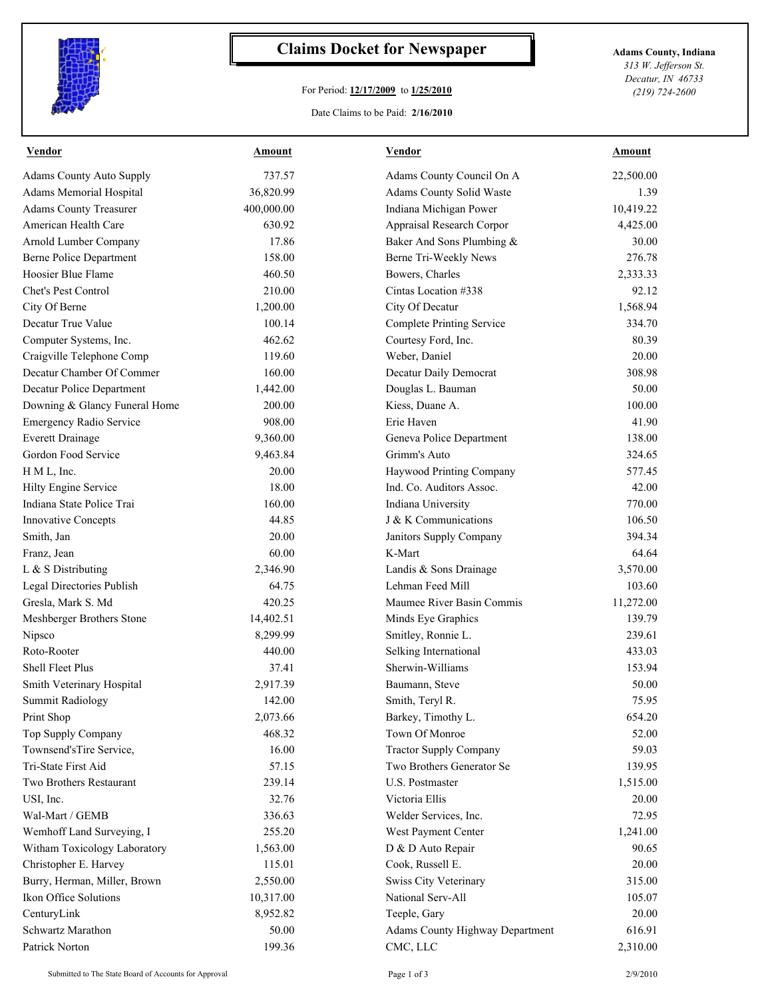

## **Claims Docket for Newspaper Adams County, Indiana**

## For Period: **12/17/2009** to **1/25/2010**

*313 W. Jefferson St. Decatur, IN 46733 (219) 724-2600*

## Date Claims to be Paid: **2/16/2010**

| <b>Vendor</b>                   | Amount     | <b>Vendor</b>                    | Amount    |
|---------------------------------|------------|----------------------------------|-----------|
| <b>Adams County Auto Supply</b> | 737.57     | Adams County Council On A        | 22,500.00 |
| Adams Memorial Hospital         | 36,820.99  | Adams County Solid Waste         | 1.39      |
| <b>Adams County Treasurer</b>   | 400,000.00 | Indiana Michigan Power           | 10,419.22 |
| American Health Care            | 630.92     | Appraisal Research Corpor        | 4,425.00  |
| Arnold Lumber Company           | 17.86      | Baker And Sons Plumbing &        | 30.00     |
| Berne Police Department         | 158.00     | Berne Tri-Weekly News            | 276.78    |
| Hoosier Blue Flame              | 460.50     | Bowers, Charles                  | 2,333.33  |
| Chet's Pest Control             | 210.00     | Cintas Location #338             | 92.12     |
| City Of Berne                   | 1,200.00   | City Of Decatur                  | 1,568.94  |
| Decatur True Value              | 100.14     | <b>Complete Printing Service</b> | 334.70    |
| Computer Systems, Inc.          | 462.62     | Courtesy Ford, Inc.              | 80.39     |
| Craigville Telephone Comp       | 119.60     | Weber, Daniel                    | 20.00     |
| Decatur Chamber Of Commer       | 160.00     | Decatur Daily Democrat           | 308.98    |
| Decatur Police Department       | 1,442.00   | Douglas L. Bauman                | 50.00     |
| Downing & Glancy Funeral Home   | 200.00     | Kiess, Duane A.                  | 100.00    |
| <b>Emergency Radio Service</b>  | 908.00     | Erie Haven                       | 41.90     |
| <b>Everett Drainage</b>         | 9,360.00   | Geneva Police Department         | 138.00    |
| Gordon Food Service             | 9,463.84   | Grimm's Auto                     | 324.65    |
| H M L, Inc.                     | 20.00      | Haywood Printing Company         | 577.45    |
| Hilty Engine Service            | 18.00      | Ind. Co. Auditors Assoc.         | 42.00     |
| Indiana State Police Trai       | 160.00     | Indiana University               | 770.00    |
| Innovative Concepts             | 44.85      | J & K Communications             | 106.50    |
| Smith, Jan                      | 20.00      | Janitors Supply Company          | 394.34    |
| Franz, Jean                     | 60.00      | K-Mart                           | 64.64     |
| L & S Distributing              | 2,346.90   | Landis & Sons Drainage           | 3,570.00  |
| Legal Directories Publish       | 64.75      | Lehman Feed Mill                 | 103.60    |
| Gresla, Mark S. Md              | 420.25     | Maumee River Basin Commis        | 11,272.00 |
| Meshberger Brothers Stone       | 14,402.51  | Minds Eye Graphics               | 139.79    |
| Nipsco                          | 8,299.99   | Smitley, Ronnie L.               | 239.61    |
| Roto-Rooter                     | 440.00     | Selking International            | 433.03    |
| Shell Fleet Plus                | 37.41      | Sherwin-Williams                 | 153.94    |
| Smith Veterinary Hospital       | 2,917.39   | Baumann, Steve                   | 50.00     |
| Summit Radiology                | 142.00     | Smith, Teryl R.                  | 75.95     |
| Print Shop                      | 2,073.66   | Barkey, Timothy L.               | 654.20    |
| Top Supply Company              | 468.32     | Town Of Monroe                   | 52.00     |
| Townsend'sTire Service,         | 16.00      | <b>Tractor Supply Company</b>    | 59.03     |
| Tri-State First Aid             | 57.15      | Two Brothers Generator Se        | 139.95    |
| Two Brothers Restaurant         | 239.14     | U.S. Postmaster                  | 1,515.00  |
| USI, Inc.                       | 32.76      | Victoria Ellis                   | 20.00     |
| Wal-Mart / GEMB                 | 336.63     | Welder Services, Inc.            | 72.95     |
| Wemhoff Land Surveying, I       | 255.20     | West Payment Center              | 1,241.00  |
| Witham Toxicology Laboratory    | 1,563.00   | D & D Auto Repair                | 90.65     |
| Christopher E. Harvey           | 115.01     | Cook, Russell E.                 | 20.00     |
| Burry, Herman, Miller, Brown    | 2,550.00   | Swiss City Veterinary            | 315.00    |
| Ikon Office Solutions           | 10,317.00  | National Serv-All                | 105.07    |
| CenturyLink                     | 8,952.82   | Teeple, Gary                     | 20.00     |
| Schwartz Marathon               | 50.00      | Adams County Highway Department  | 616.91    |
| Patrick Norton                  | 199.36     | CMC, LLC                         | 2,310.00  |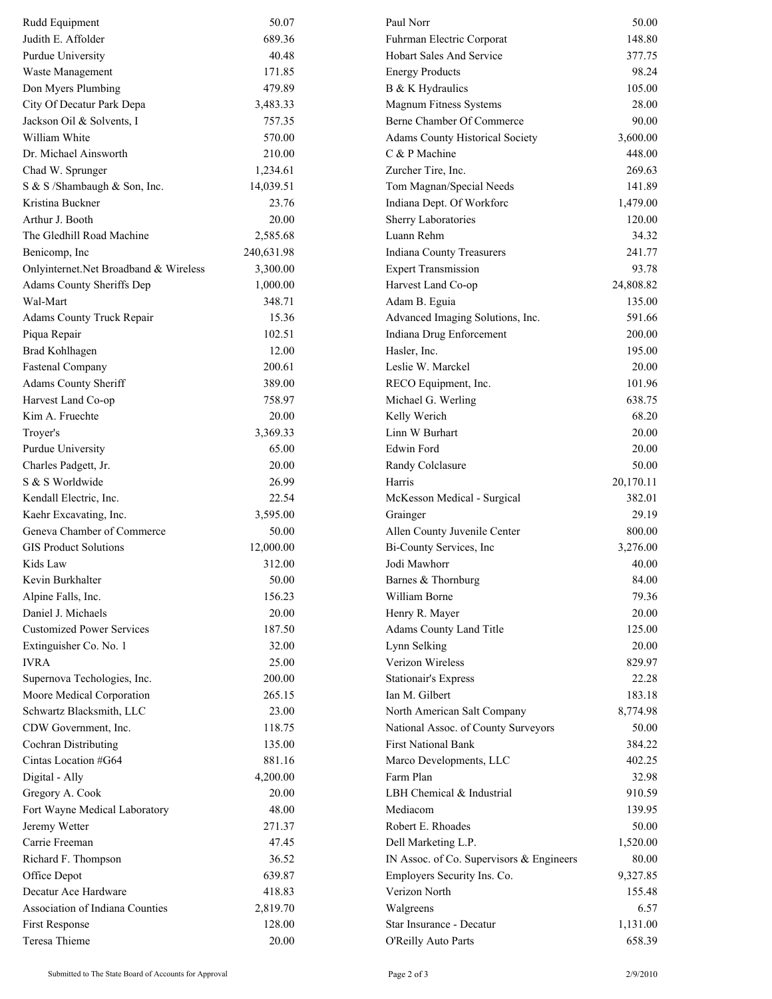| Rudd Equipment                        | 50.07      | Paul Norr                                | 50.00           |
|---------------------------------------|------------|------------------------------------------|-----------------|
| Judith E. Affolder                    | 689.36     | Fuhrman Electric Corporat                | 148.80          |
| Purdue University                     | 40.48      | <b>Hobart Sales And Service</b>          | 377.75          |
| Waste Management                      | 171.85     | <b>Energy Products</b>                   | 98.24           |
| Don Myers Plumbing                    | 479.89     | B & K Hydraulics                         | 105.00          |
| City Of Decatur Park Depa             | 3,483.33   | Magnum Fitness Systems                   | 28.00           |
| Jackson Oil & Solvents, I             | 757.35     | Berne Chamber Of Commerce                | 90.00           |
| William White                         | 570.00     | Adams County Historical Society          | 3,600.00        |
| Dr. Michael Ainsworth                 | 210.00     | C & P Machine                            | 448.00          |
| Chad W. Sprunger                      | 1,234.61   | Zurcher Tire, Inc.                       | 269.63          |
| S & S /Shambaugh & Son, Inc.          | 14,039.51  | Tom Magnan/Special Needs                 | 141.89          |
| Kristina Buckner                      | 23.76      | Indiana Dept. Of Workforc                | 1,479.00        |
| Arthur J. Booth                       | 20.00      | Sherry Laboratories                      | 120.00          |
| The Gledhill Road Machine             | 2,585.68   | Luann Rehm                               | 34.32           |
| Benicomp, Inc                         | 240,631.98 | Indiana County Treasurers                | 241.77          |
| Onlyinternet.Net Broadband & Wireless | 3,300.00   | <b>Expert Transmission</b>               | 93.78           |
| Adams County Sheriffs Dep             | 1,000.00   | Harvest Land Co-op                       | 24,808.82       |
| Wal-Mart                              | 348.71     | Adam B. Eguia                            | 135.00          |
| Adams County Truck Repair             | 15.36      | Advanced Imaging Solutions, Inc.         | 591.66          |
| Piqua Repair                          | 102.51     | Indiana Drug Enforcement                 | 200.00          |
| Brad Kohlhagen                        | 12.00      | Hasler, Inc.                             | 195.00          |
| <b>Fastenal Company</b>               | 200.61     | Leslie W. Marckel                        | 20.00           |
| Adams County Sheriff                  | 389.00     | RECO Equipment, Inc.                     | 101.96          |
| Harvest Land Co-op                    | 758.97     | Michael G. Werling                       | 638.75          |
| Kim A. Fruechte                       | 20.00      | Kelly Werich                             | 68.20           |
| Troyer's                              | 3,369.33   | Linn W Burhart                           | 20.00           |
| Purdue University                     | 65.00      | <b>Edwin Ford</b>                        | 20.00           |
| Charles Padgett, Jr.                  | 20.00      | Randy Colclasure                         | 50.00           |
| S & S Worldwide                       | 26.99      | Harris                                   | 20,170.11       |
| Kendall Electric, Inc.                | 22.54      | McKesson Medical - Surgical              | 382.01          |
| Kaehr Excavating, Inc.                | 3,595.00   | Grainger                                 | 29.19           |
| Geneva Chamber of Commerce            | 50.00      | Allen County Juvenile Center             | 800.00          |
| <b>GIS Product Solutions</b>          | 12,000.00  | Bi-County Services, Inc                  | 3,276.00        |
| Kids Law                              | 312.00     | Jodi Mawhorr                             | 40.00           |
| Kevin Burkhalter                      | 50.00      | Barnes & Thornburg                       | 84.00           |
| Alpine Falls, Inc.                    | 156.23     | William Borne                            | 79.36           |
| Daniel J. Michaels                    | 20.00      | Henry R. Mayer                           | 20.00           |
| <b>Customized Power Services</b>      | 187.50     |                                          |                 |
|                                       | 32.00      | Adams County Land Title                  | 125.00<br>20.00 |
| Extinguisher Co. No. 1<br><b>IVRA</b> | 25.00      | Lynn Selking<br>Verizon Wireless         | 829.97          |
|                                       | 200.00     |                                          |                 |
| Supernova Techologies, Inc.           |            | <b>Stationair's Express</b>              | 22.28           |
| Moore Medical Corporation             | 265.15     | Ian M. Gilbert                           | 183.18          |
| Schwartz Blacksmith, LLC              | 23.00      | North American Salt Company              | 8,774.98        |
| CDW Government, Inc.                  | 118.75     | National Assoc. of County Surveyors      | 50.00           |
| Cochran Distributing                  | 135.00     | <b>First National Bank</b>               | 384.22          |
| Cintas Location #G64                  | 881.16     | Marco Developments, LLC                  | 402.25          |
| Digital - Ally                        | 4,200.00   | Farm Plan                                | 32.98           |
| Gregory A. Cook                       | 20.00      | LBH Chemical & Industrial                | 910.59          |
| Fort Wayne Medical Laboratory         | 48.00      | Mediacom                                 | 139.95          |
| Jeremy Wetter                         | 271.37     | Robert E. Rhoades                        | 50.00           |
| Carrie Freeman                        | 47.45      | Dell Marketing L.P.                      | 1,520.00        |
| Richard F. Thompson                   | 36.52      | IN Assoc. of Co. Supervisors & Engineers | 80.00           |
| Office Depot                          | 639.87     | Employers Security Ins. Co.              | 9,327.85        |
| Decatur Ace Hardware                  | 418.83     | Verizon North                            | 155.48          |
| Association of Indiana Counties       | 2,819.70   | Walgreens                                | 6.57            |
| First Response                        | 128.00     | Star Insurance - Decatur                 | 1,131.00        |
| Teresa Thieme                         | 20.00      | O'Reilly Auto Parts                      | 658.39          |